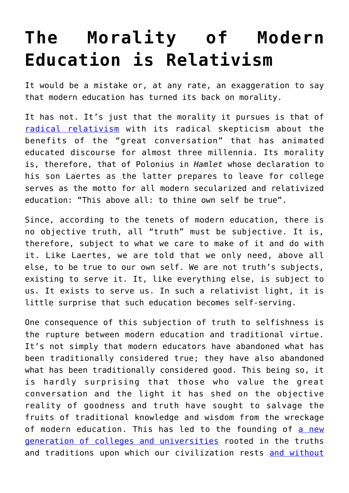## **[The Morality of Modern](https://intellectualtakeout.org/2017/08/the-morality-of-modern-education-is-relativism/) [Education is Relativism](https://intellectualtakeout.org/2017/08/the-morality-of-modern-education-is-relativism/)**

It would be a mistake or, at any rate, an exaggeration to say that modern education has turned its back on morality.

It has not. It's just that the morality it pursues is that of [radical relativism](https://www.intellectualtakeout.org/blog/what-life-relativist-society) with its radical skepticism about the benefits of the "great conversation" that has animated educated discourse for almost three millennia. Its morality is, therefore, that of Polonius in *Hamlet* whose declaration to his son Laertes as the latter prepares to leave for college serves as the motto for all modern secularized and relativized education: "This above all: to thine own self be true".

Since, according to the tenets of modern education, there is no objective truth, all "truth" must be subjective. It is, therefore, subject to what we care to make of it and do with it. Like Laertes, we are told that we only need, above all else, to be true to our own self. We are not truth's subjects, existing to serve it. It, like everything else, is subject to us. It exists to serve us. In such a relativist light, it is little surprise that such education becomes self-serving.

One consequence of this subjection of truth to selfishness is the rupture between modern education and traditional virtue. It's not simply that modern educators have abandoned what has been traditionally considered true; they have also abandoned what has been traditionally considered good. This being so, it is hardly surprising that those who value the great conversation and the light it has shed on the objective reality of goodness and truth have sought to salvage the fruits of traditional knowledge and wisdom from the wreckage of modern education. This has led to the founding of [a new](https://www.intellectualtakeout.org/blog/wow-colleges-curriculum-very-impressive) [generation of colleges and universities](https://www.intellectualtakeout.org/blog/wow-colleges-curriculum-very-impressive) rooted in the truths and traditions upon which our civilization rests [and without](https://www.intellectualtakeout.org/blog/notre-dame-prof-our-schools-are-committing-%E2%80%98civilizational-suicide%E2%80%99)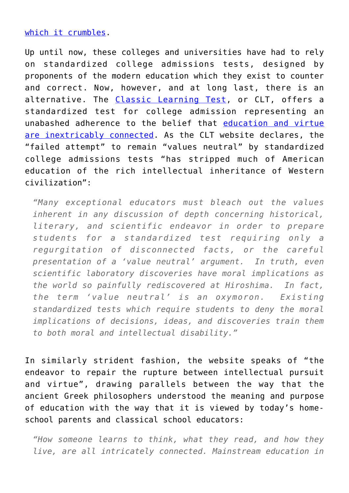## [which it crumbles.](https://www.intellectualtakeout.org/blog/notre-dame-prof-our-schools-are-committing-%E2%80%98civilizational-suicide%E2%80%99)

Up until now, these colleges and universities have had to rely on standardized college admissions tests, designed by proponents of the modern education which they exist to counter and correct. Now, however, and at long last, there is an alternative. The [Classic Learning Test](https://www.cltexam.com/), or CLT, offers a standardized test for college admission representing an unabashed adherence to the belief that [education and virtue](https://www.intellectualtakeout.org/blog/are-we-creating-men-without-chests) [are inextricably connected](https://www.intellectualtakeout.org/blog/are-we-creating-men-without-chests). As the CLT website declares, the "failed attempt" to remain "values neutral" by standardized college admissions tests "has stripped much of American education of the rich intellectual inheritance of Western civilization":

*"Many exceptional educators must bleach out the values inherent in any discussion of depth concerning historical, literary, and scientific endeavor in order to prepare students for a standardized test requiring only a regurgitation of disconnected facts, or the careful presentation of a 'value neutral' argument. In truth, even scientific laboratory discoveries have moral implications as the world so painfully rediscovered at Hiroshima. In fact, the term 'value neutral' is an oxymoron. Existing standardized tests which require students to deny the moral implications of decisions, ideas, and discoveries train them to both moral and intellectual disability."*

In similarly strident fashion, the website speaks of "the endeavor to repair the rupture between intellectual pursuit and virtue", drawing parallels between the way that the ancient Greek philosophers understood the meaning and purpose of education with the way that it is viewed by today's homeschool parents and classical school educators:

*"How someone learns to think, what they read, and how they live, are all intricately connected. Mainstream education in*